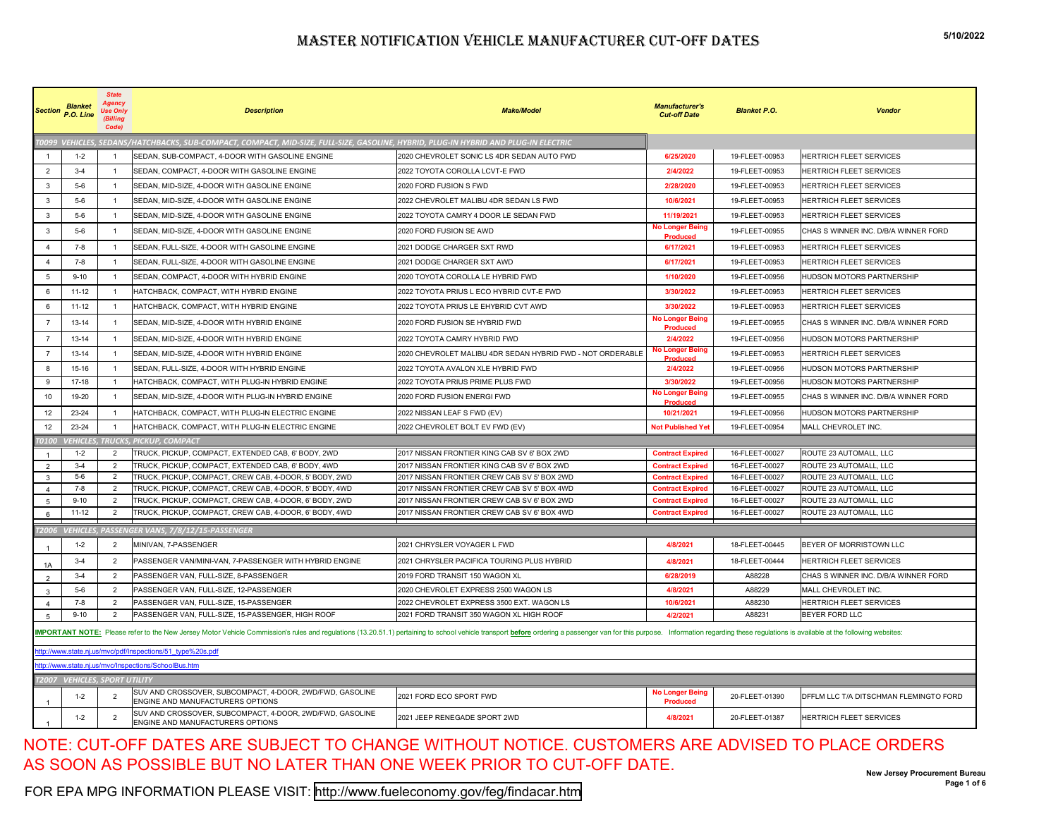|                | <b>Blanket</b><br>Section P.O. Line   | <b>State</b><br><b>Use Only</b><br>(Billing<br>Code) | <b>Description</b>                                                                                                                                                                                                             | <b>Make/Model</b>                                                                          | <b>Manufacturer's</b><br><b>Cut-off Date</b>       | <b>Blanket P.O.</b>              | <b>Vendor</b>                                    |
|----------------|---------------------------------------|------------------------------------------------------|--------------------------------------------------------------------------------------------------------------------------------------------------------------------------------------------------------------------------------|--------------------------------------------------------------------------------------------|----------------------------------------------------|----------------------------------|--------------------------------------------------|
|                |                                       |                                                      | 10099 VEHICLES, SEDANS/HATCHBACKS, SUB-COMPACT, COMPACT, MID-SIZE, FULL-SIZE, GASOLINE, HYBRID, PLUG-IN HYBRID AND PLUG-IN ELECTRIC                                                                                            |                                                                                            |                                                    |                                  |                                                  |
| $\overline{1}$ | $1 - 2$                               |                                                      | SEDAN, SUB-COMPACT, 4-DOOR WITH GASOLINE ENGINE                                                                                                                                                                                | 2020 CHEVROLET SONIC LS 4DR SEDAN AUTO FWD                                                 | 6/25/2020                                          | 19-FLEET-00953                   | <b>HERTRICH FLEET SERVICES</b>                   |
| $\overline{2}$ | $3-4$                                 | $\overline{1}$                                       | SEDAN, COMPACT, 4-DOOR WITH GASOLINE ENGINE                                                                                                                                                                                    | 2022 TOYOTA COROLLA LCVT-E FWD                                                             | 2/4/2022                                           | 19-FLEET-00953                   | HERTRICH FLEET SERVICES                          |
| 3              | $5-6$                                 | $\overline{1}$                                       | SEDAN, MID-SIZE, 4-DOOR WITH GASOLINE ENGINE                                                                                                                                                                                   | 2020 FORD FUSION S FWD                                                                     | 2/28/2020                                          | 19-FLEET-00953                   | HERTRICH FLEET SERVICES                          |
| 3              | $5-6$                                 | $\overline{1}$                                       | SEDAN, MID-SIZE, 4-DOOR WITH GASOLINE ENGINE                                                                                                                                                                                   | 2022 CHEVROLET MALIBU 4DR SEDAN LS FWD                                                     | 10/6/2021                                          | 19-FLEET-00953                   | HERTRICH FLEET SERVICES                          |
| 3              | $5-6$                                 | $\overline{1}$                                       | SEDAN, MID-SIZE, 4-DOOR WITH GASOLINE ENGINE                                                                                                                                                                                   | 2022 TOYOTA CAMRY 4 DOOR LE SEDAN FWD                                                      | 11/19/2021                                         | 19-FLEET-00953                   | HERTRICH FLEET SERVICES                          |
| 3              | $5-6$                                 |                                                      | SEDAN, MID-SIZE, 4-DOOR WITH GASOLINE ENGINE                                                                                                                                                                                   | 2020 FORD FUSION SE AWD                                                                    | No Longer Being<br><b>Produced</b>                 | 19-FLEET-00955                   | CHAS S WINNER INC. D/B/A WINNER FORD             |
| $\overline{4}$ | 7-8                                   | $\mathbf{1}$                                         | SEDAN, FULL-SIZE, 4-DOOR WITH GASOLINE ENGINE                                                                                                                                                                                  | 2021 DODGE CHARGER SXT RWD                                                                 | 6/17/2021                                          | 19-FLEET-00953                   | HERTRICH FLEET SERVICES                          |
| $\overline{4}$ | $7 - 8$                               | $\overline{1}$                                       | SEDAN, FULL-SIZE, 4-DOOR WITH GASOLINE ENGINE                                                                                                                                                                                  | 2021 DODGE CHARGER SXT AWD                                                                 | 6/17/2021                                          | 19-FLEET-00953                   | HERTRICH FLEET SERVICES                          |
| 5              | $9 - 10$                              | $\overline{1}$                                       | SEDAN, COMPACT, 4-DOOR WITH HYBRID ENGINE                                                                                                                                                                                      | 2020 TOYOTA COROLLA LE HYBRID FWD                                                          | 1/10/2020                                          | 19-FLEET-00956                   | HUDSON MOTORS PARTNERSHIP                        |
| 6              | $11 - 12$                             |                                                      | HATCHBACK, COMPACT, WITH HYBRID ENGINE                                                                                                                                                                                         | 2022 TOYOTA PRIUS L ECO HYBRID CVT-E FWD                                                   | 3/30/2022                                          | 19-FLEET-00953                   | HERTRICH FLEET SERVICES                          |
| 6              | $11 - 12$                             | $\overline{1}$                                       | HATCHBACK, COMPACT, WITH HYBRID ENGINE                                                                                                                                                                                         | 2022 TOYOTA PRIUS LE EHYBRID CVT AWD                                                       | 3/30/2022                                          | 19-FLEET-00953                   | HERTRICH FLEET SERVICES                          |
| $\overline{7}$ | 13-14                                 | $\overline{1}$                                       | SEDAN, MID-SIZE, 4-DOOR WITH HYBRID ENGINE                                                                                                                                                                                     | 2020 FORD FUSION SE HYBRID FWD                                                             | <b>No Longer Being</b><br>Produced                 | 19-FLEET-00955                   | CHAS S WINNER INC. D/B/A WINNER FORD             |
| $\overline{7}$ | 13-14                                 | $\overline{1}$                                       | SEDAN, MID-SIZE, 4-DOOR WITH HYBRID ENGINE                                                                                                                                                                                     | 2022 TOYOTA CAMRY HYBRID FWD                                                               | 2/4/2022                                           | 19-FLEET-00956                   | HUDSON MOTORS PARTNERSHIP                        |
| $\overline{7}$ | 13-14                                 | $\overline{1}$                                       | SEDAN, MID-SIZE, 4-DOOR WITH HYBRID ENGINE                                                                                                                                                                                     | 2020 CHEVROLET MALIBU 4DR SEDAN HYBRID FWD - NOT ORDERABLE                                 | lo Longer Being                                    | 19-FLEET-00953                   | HERTRICH FLEET SERVICES                          |
| 8              | 15-16                                 | $\mathbf{1}$                                         | SEDAN, FULL-SIZE, 4-DOOR WITH HYBRID ENGINE                                                                                                                                                                                    | 2022 TOYOTA AVALON XLE HYBRID FWD                                                          | Produced<br>2/4/2022                               | 19-FLEET-00956                   | HUDSON MOTORS PARTNERSHIP                        |
| 9              | 17-18                                 |                                                      | HATCHBACK, COMPACT, WITH PLUG-IN HYBRID ENGINE                                                                                                                                                                                 | 2022 TOYOTA PRIUS PRIME PLUS FWD                                                           | 3/30/2022                                          | 19-FLEET-00956                   | HUDSON MOTORS PARTNERSHIP                        |
| 10             | 19-20                                 | $\overline{1}$                                       | SEDAN, MID-SIZE, 4-DOOR WITH PLUG-IN HYBRID ENGINE                                                                                                                                                                             | 2020 FORD FUSION ENERGI FWD                                                                | <b>No Longer Being</b><br>Produced                 | 19-FLEET-00955                   | CHAS S WINNER INC. D/B/A WINNER FORD             |
| 12             | 23-24                                 |                                                      | HATCHBACK, COMPACT, WITH PLUG-IN ELECTRIC ENGINE                                                                                                                                                                               | 2022 NISSAN LEAF S FWD (EV)                                                                | 10/21/2021                                         | 19-FLEET-00956                   | HUDSON MOTORS PARTNERSHIP                        |
| 12             | 23-24                                 | $\overline{1}$                                       | HATCHBACK, COMPACT, WITH PLUG-IN ELECTRIC ENGINE                                                                                                                                                                               | 2022 CHEVROLET BOLT EV FWD (EV)                                                            | <b>Not Published Yet</b>                           | 19-FLEET-00954                   | MALL CHEVROLET INC.                              |
| <b>го100</b>   |                                       |                                                      | <b>VEHICLES, TRUCKS, PICKUP, COMPACT</b>                                                                                                                                                                                       |                                                                                            |                                                    |                                  |                                                  |
| $\mathbf{1}$   | $1 - 2$                               | 2                                                    | TRUCK, PICKUP, COMPACT, EXTENDED CAB, 6' BODY, 2WD                                                                                                                                                                             | 2017 NISSAN FRONTIER KING CAB SV 6' BOX 2WD                                                | <b>Contract Expired</b>                            | 16-FLEET-00027                   | ROUTE 23 AUTOMALL, LLC                           |
| $\mathcal{P}$  | $3-4$                                 | $\overline{2}$                                       | TRUCK, PICKUP, COMPACT, EXTENDED CAB, 6' BODY, 4WD                                                                                                                                                                             | 2017 NISSAN FRONTIER KING CAB SV 6' BOX 2WD                                                | <b>Contract Expired</b>                            | 16-FLEET-00027                   | ROUTE 23 AUTOMALL, LLC                           |
| 3              | $5-6$                                 | $\overline{2}$<br>$\overline{2}$                     | TRUCK, PICKUP, COMPACT, CREW CAB, 4-DOOR, 5' BODY, 2WD<br>TRUCK, PICKUP, COMPACT, CREW CAB, 4-DOOR, 5' BODY, 4WD                                                                                                               | 2017 NISSAN FRONTIER CREW CAB SV 5' BOX 2WD<br>2017 NISSAN FRONTIER CREW CAB SV 5' BOX 4WD | <b>Contract Expired</b>                            | 16-FLEET-00027<br>16-FLEET-00027 | ROUTE 23 AUTOMALL, LLC<br>ROUTE 23 AUTOMALL, LLC |
| 4<br>5         | 7-8<br>$9 - 10$                       | $\overline{2}$                                       | TRUCK, PICKUP, COMPACT, CREW CAB, 4-DOOR, 6' BODY, 2WD                                                                                                                                                                         | 2017 NISSAN FRONTIER CREW CAB SV 6' BOX 2WD                                                | <b>Contract Expired</b><br><b>Contract Expired</b> | 16-FLEET-00027                   | ROUTE 23 AUTOMALL, LLC                           |
| 6              | $11 - 12$                             | $\overline{2}$                                       | TRUCK, PICKUP, COMPACT, CREW CAB, 4-DOOR, 6' BODY, 4WD                                                                                                                                                                         | 2017 NISSAN FRONTIER CREW CAB SV 6' BOX 4WD                                                | <b>Contract Expired</b>                            | 16-FLEET-00027                   | ROUTE 23 AUTOMALL, LLC                           |
|                |                                       |                                                      |                                                                                                                                                                                                                                |                                                                                            |                                                    |                                  |                                                  |
| 72006          | <b>VEHICLES,</b>                      |                                                      | PASSENGER VANS, 7/8/12/15-PASSENGER                                                                                                                                                                                            |                                                                                            |                                                    |                                  |                                                  |
|                | $1 - 2$                               | $\overline{2}$                                       | MINIVAN, 7-PASSENGER                                                                                                                                                                                                           | 2021 CHRYSLER VOYAGER L FWD                                                                | 4/8/2021                                           | 18-FLEET-00445                   | BEYER OF MORRISTOWN LLC                          |
| 1A             | $3-4$                                 | $\overline{2}$                                       | PASSENGER VAN/MINI-VAN, 7-PASSENGER WITH HYBRID ENGINE                                                                                                                                                                         | 2021 CHRYSLER PACIFICA TOURING PLUS HYBRID                                                 | 4/8/2021                                           | 18-FLEET-00444                   | HERTRICH FLEET SERVICES                          |
| $\overline{2}$ | $3-4$                                 | $\overline{2}$                                       | PASSENGER VAN, FULL-SIZE, 8-PASSENGER                                                                                                                                                                                          | 2019 FORD TRANSIT 150 WAGON XL                                                             | 6/28/2019                                          | A88228                           | CHAS S WINNER INC. D/B/A WINNER FORD             |
| $\mathbf{B}$   | $5-6$                                 | $\overline{2}$                                       | PASSENGER VAN, FULL-SIZE, 12-PASSENGER                                                                                                                                                                                         | 2020 CHEVROLET EXPRESS 2500 WAGON LS                                                       | 4/8/2021                                           | A88229                           | MALL CHEVROLET INC.                              |
| $\Delta$       | 7-8                                   | $\overline{2}$                                       | PASSENGER VAN, FULL-SIZE, 15-PASSENGER                                                                                                                                                                                         | 2022 CHEVROLET EXPRESS 3500 EXT. WAGON LS                                                  | 10/6/2021                                          | A88230                           | HERTRICH FLEET SERVICES                          |
| 5              | $9 - 10$                              | $\overline{2}$                                       | PASSENGER VAN, FULL-SIZE, 15-PASSENGER, HIGH ROOF                                                                                                                                                                              | 2021 FORD TRANSIT 350 WAGON XL HIGH ROOF                                                   | 4/2/2021                                           | A88231                           | <b>BEYER FORD LLC</b>                            |
|                |                                       |                                                      | MPORTANT NOTE: Please refer to the New Jersey Motor Vehicle Commission's rules and regulations (13.20.51.1) pertaining to school vehicle transport before ordering a passenger van for this purpose. Information regarding the |                                                                                            |                                                    |                                  |                                                  |
|                |                                       |                                                      | ttp://www.state.nj.us/mvc/pdf/Inspections/51_type%20s.pdf                                                                                                                                                                      |                                                                                            |                                                    |                                  |                                                  |
|                |                                       |                                                      | <u>lttp://www.state.nj.us/mvc/Inspections/SchoolBus.htm</u>                                                                                                                                                                    |                                                                                            |                                                    |                                  |                                                  |
|                | <u>T2007_V</u> EHICLES, SPORT UTILITY |                                                      |                                                                                                                                                                                                                                |                                                                                            |                                                    |                                  |                                                  |
|                | $1 - 2$                               |                                                      | SUV AND CROSSOVER, SUBCOMPACT, 4-DOOR, 2WD/FWD, GASOLINE<br>ENGINE AND MANUFACTURERS OPTIONS                                                                                                                                   | 2021 FORD ECO SPORT FWD                                                                    | <b>No Longer Being</b><br><b>Produced</b>          | 20-FLEET-01390                   | DFFLM LLC T/A DITSCHMAN FLEMINGTO FORD           |
|                | $1 - 2$                               | $\overline{2}$                                       | SUV AND CROSSOVER, SUBCOMPACT, 4-DOOR, 2WD/FWD, GASOLINE<br>ENGINE AND MANUFACTURERS OPTIONS                                                                                                                                   | 2021 JEEP RENEGADE SPORT 2WD                                                               | 4/8/2021                                           | 20-FLEET-01387                   | HERTRICH FLEET SERVICES                          |

#### NOTE: CUT-OFF DATES ARE SUBJECT TO CHANGE WITHOUT NOTICE. CUSTOMERS ARE ADVISED TO PLACE ORDERS AS SOON AS POSSIBLE BUT NO LATER THAN ONE WEEK PRIOR TO CUT-OFF DATE.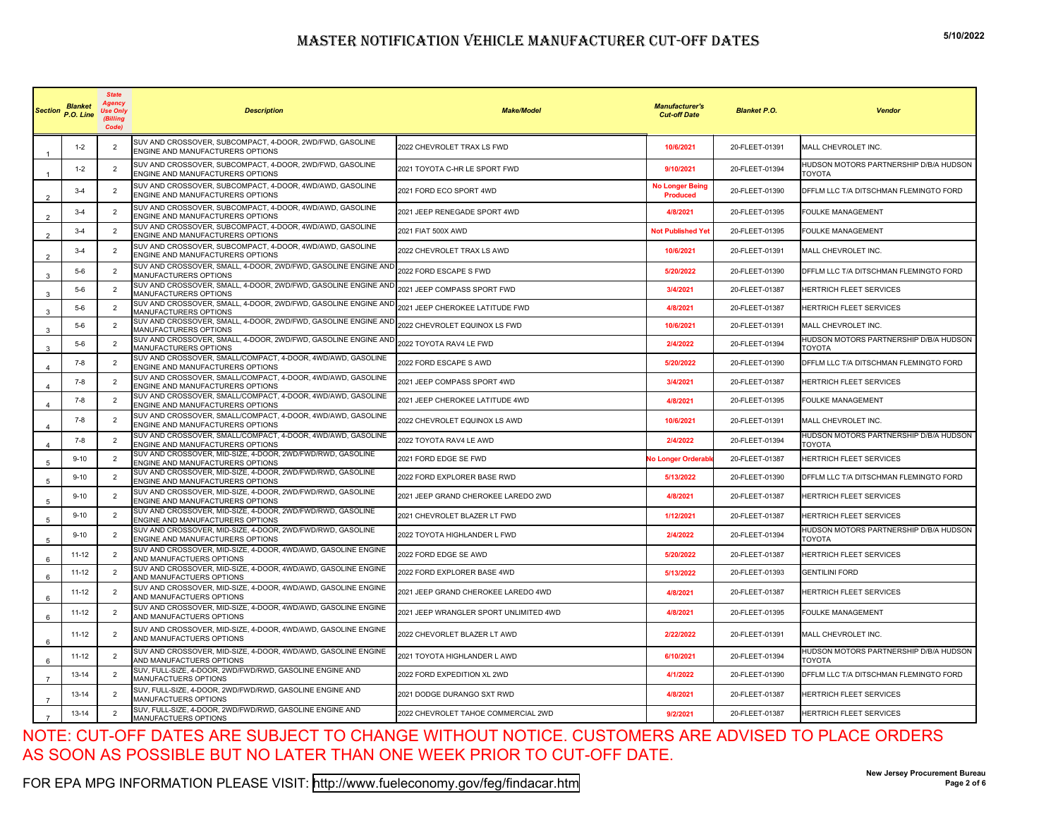|                        | <b>Blanket</b><br>Section P.O. Line | <b>State</b><br>Aaencv<br>Use Only<br>(Billing<br>Codel | <b>Description</b>                                                                              | <b>Make/Model</b>                      | <b>Manufacturer's</b><br><b>Cut-off Date</b> | <b>Blanket P.O.</b> | <b>Vendor</b>                                           |
|------------------------|-------------------------------------|---------------------------------------------------------|-------------------------------------------------------------------------------------------------|----------------------------------------|----------------------------------------------|---------------------|---------------------------------------------------------|
|                        | $1 - 2$                             | $\overline{2}$                                          | SUV AND CROSSOVER, SUBCOMPACT, 4-DOOR, 2WD/FWD, GASOLINE<br>ENGINE AND MANUFACTURERS OPTIONS    | 2022 CHEVROLET TRAX LS FWD             | 10/6/2021                                    | 20-FLEET-01391      | MALL CHEVROLET INC.                                     |
|                        | $1 - 2$                             | $\overline{2}$                                          | SUV AND CROSSOVER, SUBCOMPACT, 4-DOOR, 2WD/FWD, GASOLINE<br>ENGINE AND MANUFACTURERS OPTIONS    | 2021 TOYOTA C-HR LE SPORT FWD          | 9/10/2021                                    | 20-FLEET-01394      | HUDSON MOTORS PARTNERSHIP D/B/A HUDSON<br><b>TOYOTA</b> |
| $\mathcal{P}$          | $3-4$                               | $\overline{2}$                                          | SUV AND CROSSOVER, SUBCOMPACT, 4-DOOR, 4WD/AWD, GASOLINE<br>ENGINE AND MANUFACTURERS OPTIONS    | 2021 FORD ECO SPORT 4WD                | <b>No Longer Being</b><br><b>Produced</b>    | 20-FLEET-01390      | DFFLM LLC T/A DITSCHMAN FLEMINGTO FORD                  |
| 2                      | $3-4$                               | $\overline{2}$                                          | SUV AND CROSSOVER, SUBCOMPACT, 4-DOOR, 4WD/AWD, GASOLINE<br>ENGINE AND MANUFACTURERS OPTIONS    | 2021 JEEP RENEGADE SPORT 4WD           | 4/8/2021                                     | 20-FLEET-01395      | FOULKE MANAGEMENT                                       |
| $\overline{2}$         | $3-4$                               | $\overline{2}$                                          | SUV AND CROSSOVER, SUBCOMPACT, 4-DOOR, 4WD/AWD, GASOLINE<br>ENGINE AND MANUFACTURERS OPTIONS    | 2021 FIAT 500X AWD                     | <b>Not Published Yet</b>                     | 20-FLEET-01395      | FOULKE MANAGEMENT                                       |
|                        | $3-4$                               | $\overline{2}$                                          | SUV AND CROSSOVER, SUBCOMPACT, 4-DOOR, 4WD/AWD, GASOLINE<br>ENGINE AND MANUFACTURERS OPTIONS    | 2022 CHEVROLET TRAX LS AWD             | 10/6/2021                                    | 20-FLEET-01391      | MALL CHEVROLET INC.                                     |
| 3                      | $5-6$                               | $\overline{2}$                                          | SUV AND CROSSOVER, SMALL, 4-DOOR, 2WD/FWD, GASOLINE ENGINE AND<br>MANUFACTURERS OPTIONS         | 2022 FORD ESCAPE S FWD                 | 5/20/2022                                    | 20-FLEET-01390      | DFFLM LLC T/A DITSCHMAN FLEMINGTO FORD                  |
| 3                      | $5-6$                               | $\overline{2}$                                          | SUV AND CROSSOVER, SMALL, 4-DOOR, 2WD/FWD, GASOLINE ENGINE AND<br>MANUFACTURERS OPTIONS         | 2021 JEEP COMPASS SPORT FWD            | 3/4/2021                                     | 20-FLEET-01387      | HERTRICH FLEET SERVICES                                 |
| 3                      | $5-6$                               | $\overline{2}$                                          | SUV AND CROSSOVER, SMALL, 4-DOOR, 2WD/FWD, GASOLINE ENGINE AND<br>MANUFACTURERS OPTIONS         | 2021 JEEP CHEROKEE LATITUDE FWD        | 4/8/2021                                     | 20-FLEET-01387      | HERTRICH FLEET SERVICES                                 |
| 3                      | $5-6$                               | $\overline{2}$                                          | SUV AND CROSSOVER, SMALL, 4-DOOR, 2WD/FWD, GASOLINE ENGINE AND<br>MANUFACTURERS OPTIONS         | 2022 CHEVROLET EQUINOX LS FWD          | 10/6/2021                                    | 20-FLEET-01391      | MALL CHEVROLET INC.                                     |
| 3                      | $5-6$                               | $\overline{2}$                                          | SUV AND CROSSOVER, SMALL, 4-DOOR, 2WD/FWD, GASOLINE ENGINE AND<br>MANUFACTURERS OPTIONS         | 2022 TOYOTA RAV4 LE FWD                | 2/4/2022                                     | 20-FLEET-01394      | HUDSON MOTORS PARTNERSHIP D/B/A HUDSON<br>TOYOTA        |
|                        | 7-8                                 | 2                                                       | SUV AND CROSSOVER, SMALL/COMPACT, 4-DOOR, 4WD/AWD, GASOLINE<br>ENGINE AND MANUFACTURERS OPTIONS | 2022 FORD ESCAPE S AWD                 | 5/20/2022                                    | 20-FLEET-01390      | DFFLM LLC T/A DITSCHMAN FLEMINGTO FORD                  |
| $\Delta$               | 7-8                                 | $\overline{2}$                                          | SUV AND CROSSOVER, SMALL/COMPACT, 4-DOOR, 4WD/AWD, GASOLINE<br>ENGINE AND MANUFACTURERS OPTIONS | 2021 JEEP COMPASS SPORT 4WD            | 3/4/2021                                     | 20-FLEET-01387      | HERTRICH FLEET SERVICES                                 |
| 4                      | 7-8                                 | $\overline{2}$                                          | SUV AND CROSSOVER, SMALL/COMPACT, 4-DOOR, 4WD/AWD, GASOLINE<br>ENGINE AND MANUFACTURERS OPTIONS | 2021 JEEP CHEROKEE LATITUDE 4WD        | 4/8/2021                                     | 20-FLEET-01395      | FOULKE MANAGEMENT                                       |
|                        | $7-8$                               | 2                                                       | SUV AND CROSSOVER, SMALL/COMPACT, 4-DOOR, 4WD/AWD, GASOLINE<br>ENGINE AND MANUFACTURERS OPTIONS | 2022 CHEVROLET EQUINOX LS AWD          | 10/6/2021                                    | 20-FLEET-01391      | MALL CHEVROLET INC.                                     |
| $\boldsymbol{\Lambda}$ | $7-8$                               | $\overline{2}$                                          | SUV AND CROSSOVER, SMALL/COMPACT, 4-DOOR, 4WD/AWD, GASOLINE<br>ENGINE AND MANUFACTURERS OPTIONS | 2022 TOYOTA RAV4 LE AWD                | 2/4/2022                                     | 20-FLEET-01394      | HUDSON MOTORS PARTNERSHIP D/B/A HUDSON<br><b>TOYOTA</b> |
| 5                      | $9 - 10$                            | $\overline{2}$                                          | SUV AND CROSSOVER, MID-SIZE, 4-DOOR, 2WD/FWD/RWD, GASOLINE<br>ENGINE AND MANUFACTURERS OPTIONS  | 2021 FORD EDGE SE FWD                  | No Longer Orderabl                           | 20-FLEET-01387      | HERTRICH FLEET SERVICES                                 |
| 5                      | $9 - 10$                            | 2                                                       | SUV AND CROSSOVER, MID-SIZE, 4-DOOR, 2WD/FWD/RWD, GASOLINE<br>ENGINE AND MANUFACTURERS OPTIONS  | 2022 FORD EXPLORER BASE RWD            | 5/13/2022                                    | 20-FLEET-01390      | DFFLM LLC T/A DITSCHMAN FLEMINGTO FORD                  |
| 5                      | $9 - 10$                            | $\overline{2}$                                          | SUV AND CROSSOVER, MID-SIZE, 4-DOOR, 2WD/FWD/RWD, GASOLINE<br>ENGINE AND MANUFACTURERS OPTIONS  | 2021 JEEP GRAND CHEROKEE LAREDO 2WD    | 4/8/2021                                     | 20-FLEET-01387      | HERTRICH FLEET SERVICES                                 |
| 5                      | $9 - 10$                            | 2                                                       | SUV AND CROSSOVER, MID-SIZE, 4-DOOR, 2WD/FWD/RWD, GASOLINE<br>ENGINE AND MANUFACTURERS OPTIONS  | 2021 CHEVROLET BLAZER LT FWD           | 1/12/2021                                    | 20-FLEET-01387      | HERTRICH FLEET SERVICES                                 |
| 5                      | $9 - 10$                            | $\overline{2}$                                          | SUV AND CROSSOVER, MID-SIZE, 4-DOOR, 2WD/FWD/RWD, GASOLINE<br>ENGINE AND MANUFACTURERS OPTIONS  | 2022 TOYOTA HIGHLANDER L FWD           | 2/4/2022                                     | 20-FLEET-01394      | HUDSON MOTORS PARTNERSHIP D/B/A HUDSON<br><b>TOYOTA</b> |
| 6                      | $11 - 12$                           | $\overline{2}$                                          | SUV AND CROSSOVER, MID-SIZE, 4-DOOR, 4WD/AWD, GASOLINE ENGINE<br>AND MANUFACTUERS OPTIONS       | 2022 FORD EDGE SE AWD                  | 5/20/2022                                    | 20-FLEET-01387      | HERTRICH FLEET SERVICES                                 |
| 6                      | $11 - 12$                           | $\overline{2}$                                          | SUV AND CROSSOVER, MID-SIZE, 4-DOOR, 4WD/AWD, GASOLINE ENGINE<br>AND MANUFACTUERS OPTIONS       | 2022 FORD EXPLORER BASE 4WD            | 5/13/2022                                    | 20-FLEET-01393      | <b>GENTILINI FORD</b>                                   |
| 6                      | $11 - 12$                           | $\overline{2}$                                          | SUV AND CROSSOVER, MID-SIZE, 4-DOOR, 4WD/AWD, GASOLINE ENGINE<br>AND MANUFACTUERS OPTIONS       | 2021 JEEP GRAND CHEROKEE LAREDO 4WD    | 4/8/2021                                     | 20-FLEET-01387      | HERTRICH FLEET SERVICES                                 |
| 6                      | $11 - 12$                           | $\overline{2}$                                          | SUV AND CROSSOVER, MID-SIZE, 4-DOOR, 4WD/AWD, GASOLINE ENGINE<br>AND MANUFACTUERS OPTIONS       | 2021 JEEP WRANGLER SPORT UNLIMITED 4WD | 4/8/2021                                     | 20-FLEET-01395      | <b>FOULKE MANAGEMENT</b>                                |
| 6                      | $11 - 12$                           | $\overline{2}$                                          | SUV AND CROSSOVER, MID-SIZE, 4-DOOR, 4WD/AWD, GASOLINE ENGINE<br>AND MANUFACTUERS OPTIONS       | 2022 CHEVORLET BLAZER LT AWD           | 2/22/2022                                    | 20-FLEET-01391      | MALL CHEVROLET INC.                                     |
| 6                      | $11 - 12$                           | $\overline{2}$                                          | SUV AND CROSSOVER, MID-SIZE, 4-DOOR, 4WD/AWD, GASOLINE ENGINE<br>AND MANUFACTUERS OPTIONS       | 2021 TOYOTA HIGHLANDER L AWD           | 6/10/2021                                    | 20-FLEET-01394      | HUDSON MOTORS PARTNERSHIP D/B/A HUDSON<br><b>TOYOTA</b> |
| $\overline{7}$         | 13-14                               | $\overline{2}$                                          | SUV, FULL-SIZE, 4-DOOR, 2WD/FWD/RWD, GASOLINE ENGINE AND<br>MANUFACTUERS OPTIONS                | 2022 FORD EXPEDITION XL 2WD            | 4/1/2022                                     | 20-FLEET-01390      | DFFLM LLC T/A DITSCHMAN FLEMINGTO FORD                  |
|                        | 13-14                               |                                                         | SUV, FULL-SIZE, 4-DOOR, 2WD/FWD/RWD, GASOLINE ENGINE AND<br>MANUFACTUERS OPTIONS                | 2021 DODGE DURANGO SXT RWD             | 4/8/2021                                     | 20-FLEET-01387      | HERTRICH FLEET SERVICES                                 |
| $\overline{7}$         | 13-14                               | $\overline{2}$                                          | SUV, FULL-SIZE, 4-DOOR, 2WD/FWD/RWD, GASOLINE ENGINE AND<br>MANUFACTUERS OPTIONS                | 2022 CHEVROLET TAHOE COMMERCIAL 2WD    | 9/2/2021                                     | 20-FLEET-01387      | <b>HERTRICH FLEET SERVICES</b>                          |

NOTE: CUT-OFF DATES ARE SUBJECT TO CHANGE WITHOUT NOTICE. CUSTOMERS ARE ADVISED TO PLACE ORDERS AS SOON AS POSSIBLE BUT NO LATER THAN ONE WEEK PRIOR TO CUT-OFF DATE.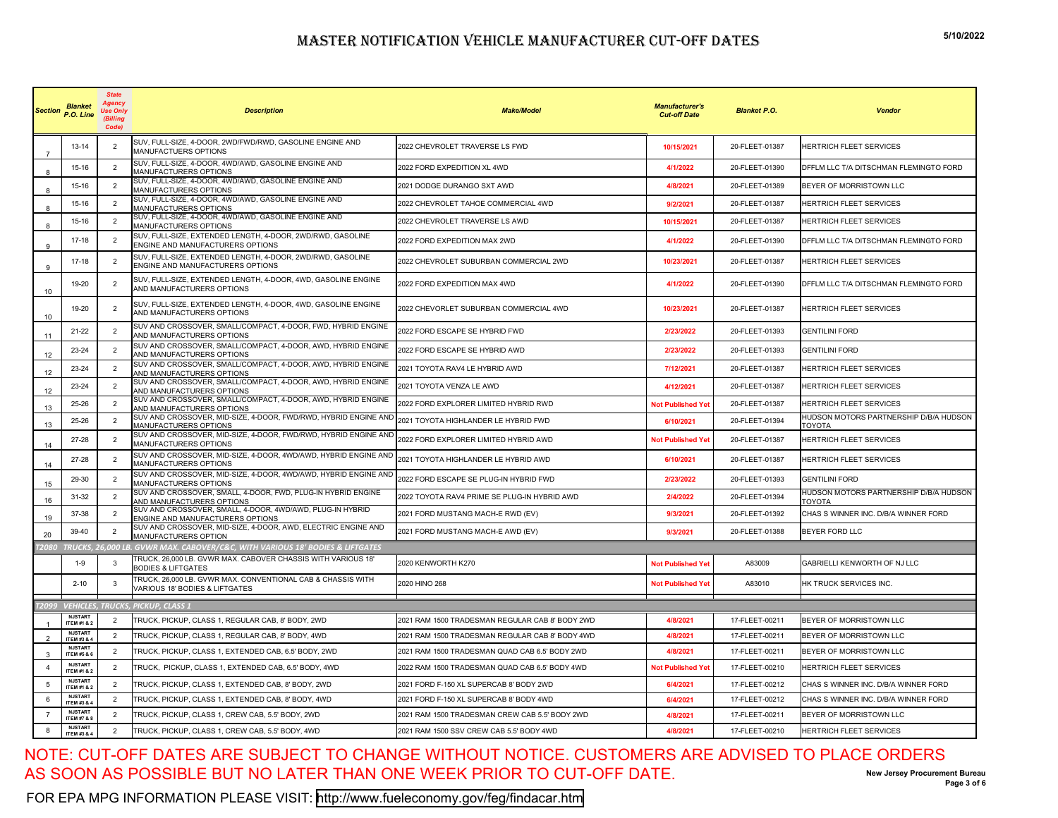| <b>Section</b>   | <b>Blanket</b><br>P.O. Line              | <b>State</b><br>Agency<br><b>Use Only</b><br>(Billing<br>Code) | <b>Description</b>                                                                             | <b>Make/Model</b>                               | <b>Manufacturer's</b><br><b>Cut-off Date</b> | <b>Blanket P.O.</b> | <b>Vendor</b>                                           |
|------------------|------------------------------------------|----------------------------------------------------------------|------------------------------------------------------------------------------------------------|-------------------------------------------------|----------------------------------------------|---------------------|---------------------------------------------------------|
|                  | 13-14                                    | $\overline{2}$                                                 | SUV, FULL-SIZE, 4-DOOR, 2WD/FWD/RWD, GASOLINE ENGINE AND<br>MANUFACTUERS OPTIONS               | 2022 CHEVROLET TRAVERSE LS FWD                  | 10/15/2021                                   | 20-FLEET-01387      | <b>HERTRICH FLEET SERVICES</b>                          |
| -8               | 15-16                                    | $\overline{2}$                                                 | SUV, FULL-SIZE, 4-DOOR, 4WD/AWD, GASOLINE ENGINE AND<br>MANUFACTURERS OPTIONS                  | 2022 FORD EXPEDITION XL 4WD                     | 4/1/2022                                     | 20-FLEET-01390      | DFFLM LLC T/A DITSCHMAN FLEMINGTO FORD                  |
|                  | 15-16                                    | $\overline{2}$                                                 | SUV, FULL-SIZE, 4-DOOR, 4WD/AWD, GASOLINE ENGINE AND<br>MANUFACTURERS OPTIONS                  | 2021 DODGE DURANGO SXT AWD                      | 4/8/2021                                     | 20-FLEET-01389      | BEYER OF MORRISTOWN LLC                                 |
| -8               | 15-16                                    | $\overline{2}$                                                 | SUV, FULL-SIZE, 4-DOOR, 4WD/AWD, GASOLINE ENGINE AND<br>MANUFACTURERS OPTIONS                  | 2022 CHEVROLET TAHOE COMMERCIAL 4WD             | 9/2/2021                                     | 20-FLEET-01387      | <b>HERTRICH FLEET SERVICES</b>                          |
| 8                | 15-16                                    | $\overline{2}$                                                 | SUV, FULL-SIZE, 4-DOOR, 4WD/AWD, GASOLINE ENGINE AND<br>MANUFACTURERS OPTIONS                  | 2022 CHEVROLET TRAVERSE LS AWD                  | 10/15/2021                                   | 20-FLEET-01387      | <b>HERTRICH FLEET SERVICES</b>                          |
| 9                | 17-18                                    | $\overline{2}$                                                 | SUV, FULL-SIZE, EXTENDED LENGTH, 4-DOOR, 2WD/RWD, GASOLINE<br>ENGINE AND MANUFACTURERS OPTIONS | 2022 FORD EXPEDITION MAX 2WD                    | 4/1/2022                                     | 20-FLEET-01390      | DFFLM LLC T/A DITSCHMAN FLEMINGTO FORD                  |
| 9                | 17-18                                    | $\overline{2}$                                                 | SUV, FULL-SIZE, EXTENDED LENGTH, 4-DOOR, 2WD/RWD, GASOLINE<br>ENGINE AND MANUFACTURERS OPTIONS | 2022 CHEVROLET SUBURBAN COMMERCIAL 2WD          | 10/23/2021                                   | 20-FLEET-01387      | HERTRICH FLEET SERVICES                                 |
| 10 <sup>10</sup> | 19-20                                    | $\overline{2}$                                                 | SUV, FULL-SIZE, EXTENDED LENGTH, 4-DOOR, 4WD, GASOLINE ENGINE<br>AND MANUFACTURERS OPTIONS     | 2022 FORD EXPEDITION MAX 4WD                    | 4/1/2022                                     | 20-FLEET-01390      | DFFLM LLC T/A DITSCHMAN FLEMINGTO FORD                  |
| 10               | 19-20                                    | $\overline{2}$                                                 | SUV, FULL-SIZE, EXTENDED LENGTH, 4-DOOR, 4WD, GASOLINE ENGINE<br>AND MANUFACTURERS OPTIONS     | 2022 CHEVORLET SUBURBAN COMMERCIAL 4WD          | 10/23/2021                                   | 20-FLEET-01387      | <b>HERTRICH FLEET SERVICES</b>                          |
| 11               | 21-22                                    | $\overline{2}$                                                 | SUV AND CROSSOVER, SMALL/COMPACT, 4-DOOR, FWD, HYBRID ENGINE<br>AND MANUFACTURERS OPTIONS      | 2022 FORD ESCAPE SE HYBRID FWD                  | 2/23/2022                                    | 20-FLEET-01393      | <b>GENTILINI FORD</b>                                   |
| 12               | 23-24                                    | 2                                                              | SUV AND CROSSOVER, SMALL/COMPACT, 4-DOOR, AWD, HYBRID ENGINE<br>AND MANUFACTURERS OPTIONS      | 2022 FORD ESCAPE SE HYBRID AWD                  | 2/23/2022                                    | 20-FLEET-01393      | <b>GENTILINI FORD</b>                                   |
| 12               | 23-24                                    | 2                                                              | SUV AND CROSSOVER, SMALL/COMPACT, 4-DOOR, AWD, HYBRID ENGINE<br>AND MANUFACTURERS OPTIONS      | 2021 TOYOTA RAV4 LE HYBRID AWD                  | 7/12/2021                                    | 20-FLEET-01387      | HERTRICH FLEET SERVICES                                 |
| 12               | 23-24                                    | $\overline{2}$                                                 | SUV AND CROSSOVER, SMALL/COMPACT, 4-DOOR, AWD, HYBRID ENGINE<br>AND MANUFACTURERS OPTIONS      | 2021 TOYOTA VENZA LE AWD                        | 4/12/2021                                    | 20-FLEET-01387      | HERTRICH FLEET SERVICES                                 |
| 13               | 25-26                                    | $\overline{2}$                                                 | SUV AND CROSSOVER, SMALL/COMPACT, 4-DOOR, AWD, HYBRID ENGINE<br>AND MANUFACTURERS OPTIONS      | 2022 FORD EXPLORER LIMITED HYBRID RWD           | <b>Not Published Yet</b>                     | 20-FLEET-01387      | HERTRICH FLEET SERVICES                                 |
| 13               | 25-26                                    | 2                                                              | SUV AND CROSSOVER, MID-SIZE, 4-DOOR, FWD/RWD, HYBRID ENGINE AND<br>MANUFACTURERS OPTIONS       | 2021 TOYOTA HIGHLANDER LE HYBRID FWD            | 6/10/2021                                    | 20-FLEET-01394      | HUDSON MOTORS PARTNERSHIP D/B/A HUDSON<br><b>TOYOTA</b> |
| 14               | 27-28                                    | $\overline{2}$                                                 | SUV AND CROSSOVER, MID-SIZE, 4-DOOR, FWD/RWD, HYBRID ENGINE AND<br>MANUFACTURERS OPTIONS       | 2022 FORD EXPLORER LIMITED HYBRID AWD           | <b>Not Published Yet</b>                     | 20-FLEET-01387      | <b>HERTRICH FLEET SERVICES</b>                          |
| 14               | 27-28                                    | $\overline{2}$                                                 | SUV AND CROSSOVER, MID-SIZE, 4-DOOR, 4WD/AWD, HYBRID ENGINE AND<br>MANUFACTURERS OPTIONS       | 2021 TOYOTA HIGHLANDER LE HYBRID AWD            | 6/10/2021                                    | 20-FLEET-01387      | <b>HERTRICH FLEET SERVICES</b>                          |
| 15               | 29-30                                    | $\overline{2}$                                                 | SUV AND CROSSOVER, MID-SIZE, 4-DOOR, 4WD/AWD, HYBRID ENGINE AND<br>MANUFACTURERS OPTIONS       | 2022 FORD ESCAPE SE PLUG-IN HYBRID FWD          | 2/23/2022                                    | 20-FLEET-01393      | <b>GENTILINI FORD</b>                                   |
| 16               | 31-32                                    | 2                                                              | SUV AND CROSSOVER, SMALL, 4-DOOR, FWD, PLUG-IN HYBRID ENGINE<br>AND MANUFACTURERS OPTIONS      | 2022 TOYOTA RAV4 PRIME SE PLUG-IN HYBRID AWD    | 2/4/2022                                     | 20-FLEET-01394      | HUDSON MOTORS PARTNERSHIP D/B/A HUDSON<br>TOYOTA        |
| 19               | 37-38                                    | $\overline{2}$                                                 | SUV AND CROSSOVER, SMALL, 4-DOOR, 4WD/AWD, PLUG-IN HYBRID<br>ENGINE AND MANUFACTURERS OPTIONS  | 2021 FORD MUSTANG MACH-E RWD (EV)               | 9/3/2021                                     | 20-FLEET-01392      | CHAS S WINNER INC. D/B/A WINNER FORD                    |
| 20               | 39-40                                    | $\overline{2}$                                                 | SUV AND CROSSOVER, MID-SIZE, 4-DOOR, AWD, ELECTRIC ENGINE AND<br><b>MANUFACTURERS OPTION</b>   | 2021 FORD MUSTANG MACH-E AWD (EV)               | 9/3/2021                                     | 20-FLEET-01388      | <b>BEYER FORD LLC</b>                                   |
| <b>T2080</b>     |                                          |                                                                | TRUCKS, 26,000 LB. GVWR MAX. CABOVER/C&C, WITH VARIOUS 18' BODIES & LIFTGATES                  |                                                 |                                              |                     |                                                         |
|                  | $1 - 9$                                  | -3                                                             | TRUCK, 26,000 LB. GVWR MAX. CABOVER CHASSIS WITH VARIOUS 18'<br><b>BODIES &amp; LIFTGATES</b>  | 2020 KENWORTH K270                              | <b>Not Published Yet</b>                     | A83009              | GABRIELLI KENWORTH OF NJ LLC                            |
|                  | $2 - 10$                                 | $\overline{3}$                                                 | TRUCK, 26,000 LB. GVWR MAX. CONVENTIONAL CAB & CHASSIS WITH<br>VARIOUS 18' BODIES & LIFTGATES  | 2020 HINO 268                                   | <b>Not Published Yet</b>                     | A83010              | HK TRUCK SERVICES INC.                                  |
|                  |                                          |                                                                | T2099 VEHICLES, TRUCKS, PICKUP, CLASS 1                                                        |                                                 |                                              |                     |                                                         |
|                  | <b>NJSTART</b><br><b>ITEM #1 &amp; 2</b> | $\overline{2}$                                                 | TRUCK, PICKUP, CLASS 1, REGULAR CAB, 8' BODY, 2WD                                              | 2021 RAM 1500 TRADESMAN REGULAR CAB 8' BODY 2WD | 4/8/2021                                     | 17-FLEET-00211      | BEYER OF MORRISTOWN LLC                                 |
| $\overline{2}$   | <b>NJSTART</b><br>ITEM #3 & 4            | $\overline{2}$                                                 | TRUCK, PICKUP, CLASS 1, REGULAR CAB, 8' BODY, 4WD                                              | 2021 RAM 1500 TRADESMAN REGULAR CAB 8' BODY 4WD | 4/8/2021                                     | 17-FLEET-00211      | BEYER OF MORRISTOWN LLC                                 |
| 3                | <b>NJSTART</b><br><b>ITEM #5 &amp; 6</b> | $\overline{2}$                                                 | TRUCK, PICKUP, CLASS 1, EXTENDED CAB, 6.5' BODY, 2WD                                           | 2021 RAM 1500 TRADESMAN QUAD CAB 6.5' BODY 2WD  | 4/8/2021                                     | 17-FLEET-00211      | BEYER OF MORRISTOWN LLC                                 |
| $\overline{4}$   | <b>NJSTART</b><br>ITEM #1 & 2            | $\overline{2}$                                                 | TRUCK, PICKUP, CLASS 1, EXTENDED CAB, 6.5' BODY, 4WD                                           | 2022 RAM 1500 TRADESMAN QUAD CAB 6.5' BODY 4WD  | <b>Not Published Yet</b>                     | 17-FLEET-00210      | HERTRICH FLEET SERVICES                                 |
| 5                | <b>NJSTART</b><br><b>ITEM #1 &amp; 2</b> | $\overline{2}$                                                 | TRUCK, PICKUP, CLASS 1, EXTENDED CAB, 8' BODY, 2WD                                             | 2021 FORD F-150 XL SUPERCAB 8' BODY 2WD         | 6/4/2021                                     | 17-FLEET-00212      | CHAS S WINNER INC. D/B/A WINNER FORD                    |
| 6                | <b>NJSTART</b><br>ITEM #3 & 4            | $\overline{2}$                                                 | TRUCK, PICKUP, CLASS 1, EXTENDED CAB, 8' BODY, 4WD                                             | 2021 FORD F-150 XL SUPERCAB 8' BODY 4WD         | 6/4/2021                                     | 17-FLEET-00212      | CHAS S WINNER INC. D/B/A WINNER FORD                    |
|                  | <b>NJSTART</b><br><b>ITEM #7 &amp; 8</b> | 2                                                              | TRUCK, PICKUP, CLASS 1, CREW CAB, 5.5' BODY, 2WD                                               | 2021 RAM 1500 TRADESMAN CREW CAB 5.5' BODY 2WD  | 4/8/2021                                     | 17-FLEET-00211      | BEYER OF MORRISTOWN LLC                                 |
| 8                | <b>NJSTART</b><br><b>ITEM #3 &amp; 4</b> | $\overline{2}$                                                 | TRUCK, PICKUP, CLASS 1, CREW CAB, 5.5' BODY, 4WD                                               | 2021 RAM 1500 SSV CREW CAB 5.5' BODY 4WD        | 4/8/2021                                     | 17-FLEET-00210      | <b>HERTRICH FLEET SERVICES</b>                          |

NOTE: CUT-OFF DATES ARE SUBJECT TO CHANGE WITHOUT NOTICE. CUSTOMERS ARE ADVISED TO PLACE ORDERS AS SOON AS POSSIBLE BUT NO LATER THAN ONE WEEK PRIOR TO CUT-OFF DATE.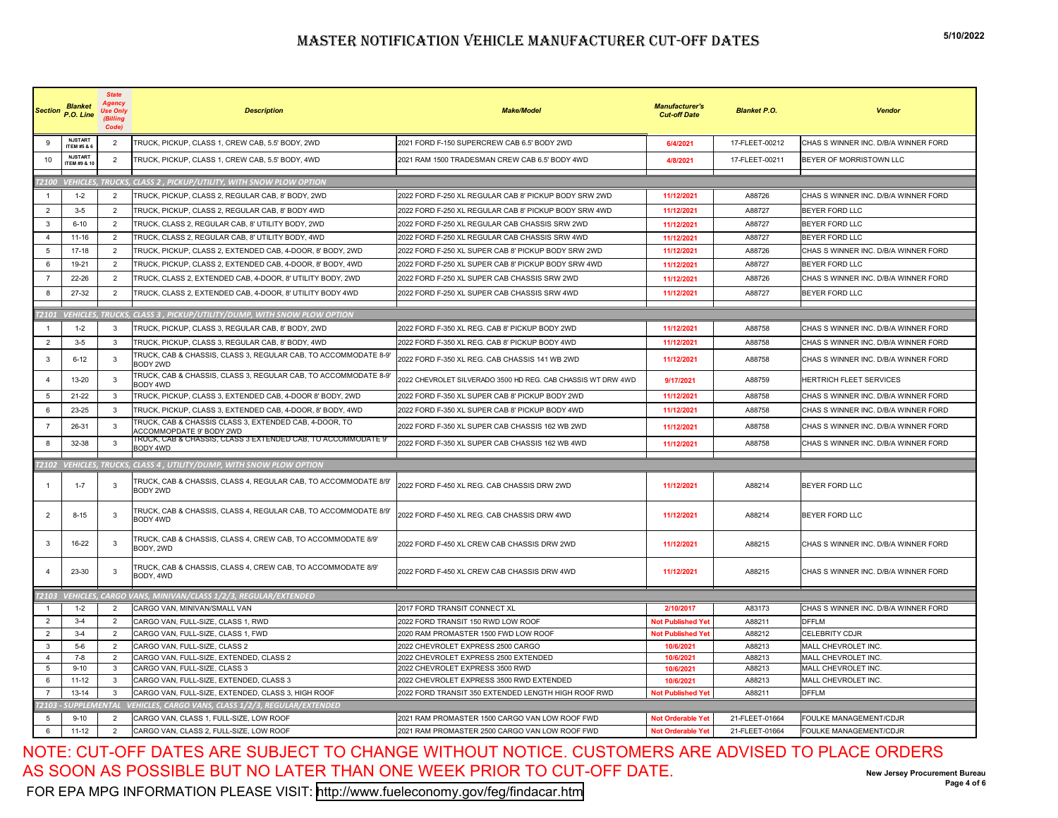| <b>Section</b> | <b>Blanket</b><br>P.O. Line              | <b>State</b><br>Agency<br><b>Use Only</b><br>(Billing<br>Code) | <b>Description</b>                                                                 | <b>Make/Model</b>                                            | <b>Manufacturer's</b><br><b>Cut-off Date</b> | <b>Blanket P.O.</b> | Vendor                               |
|----------------|------------------------------------------|----------------------------------------------------------------|------------------------------------------------------------------------------------|--------------------------------------------------------------|----------------------------------------------|---------------------|--------------------------------------|
| $\mathbf{Q}$   | <b>NJSTART</b><br><b>ITEM #5 &amp; (</b> | $\overline{2}$                                                 | TRUCK, PICKUP, CLASS 1, CREW CAB, 5.5' BODY, 2WD                                   | 2021 FORD F-150 SUPERCREW CAB 6.5' BODY 2WD                  | 6/4/2021                                     | 17-FLEET-00212      | CHAS S WINNER INC. D/B/A WINNER FORD |
| 10             | <b>NJSTART</b><br>ITEM #9 & 1            | $\overline{2}$                                                 | TRUCK, PICKUP, CLASS 1, CREW CAB, 5.5' BODY, 4WD                                   | 2021 RAM 1500 TRADESMAN CREW CAB 6.5' BODY 4WD               | 4/8/2021                                     | 17-FLEET-00211      | BEYER OF MORRISTOWN LLC              |
| <b>T2100</b>   |                                          |                                                                | <b>VEHICLES, TRUCKS, CLASS 2, PICKUP/UTILITY, WITH SNOW PLOW OPTION</b>            |                                                              |                                              |                     |                                      |
| $\overline{1}$ | $1 - 2$                                  | $\overline{2}$                                                 | TRUCK, PICKUP, CLASS 2, REGULAR CAB, 8' BODY, 2WD                                  | 2022 FORD F-250 XL REGULAR CAB 8' PICKUP BODY SRW 2WD        | 11/12/2021                                   | A88726              | CHAS S WINNER INC. D/B/A WINNER FORD |
| 2              | $3-5$                                    | $\overline{2}$                                                 | TRUCK, PICKUP, CLASS 2, REGULAR CAB, 8' BODY 4WD                                   | 2022 FORD F-250 XL REGULAR CAB 8' PICKUP BODY SRW 4WD        | 11/12/2021                                   | A88727              | <b>BEYER FORD LLC</b>                |
| 3              | $6 - 10$                                 | 2                                                              | TRUCK, CLASS 2, REGULAR CAB, 8' UTILITY BODY, 2WD                                  | 2022 FORD F-250 XL REGULAR CAB CHASSIS SRW 2WD               | 11/12/2021                                   | A88727              | <b>BEYER FORD LLC</b>                |
| $\overline{a}$ | 11-16                                    | $\overline{2}$                                                 | TRUCK, CLASS 2, REGULAR CAB, 8' UTILITY BODY, 4WD                                  | 2022 FORD F-250 XL REGULAR CAB CHASSIS SRW 4WD               | 11/12/2021                                   | A88727              | BEYER FORD LLC                       |
| 5              | 17-18                                    | $\overline{2}$                                                 | TRUCK, PICKUP, CLASS 2, EXTENDED CAB, 4-DOOR, 8' BODY, 2WD                         | 2022 FORD F-250 XL SUPER CAB 8' PICKUP BODY SRW 2WD          | 11/12/2021                                   | A88726              | CHAS S WINNER INC. D/B/A WINNER FORD |
| 6              | 19-21                                    | $\overline{2}$                                                 | TRUCK, PICKUP, CLASS 2, EXTENDED CAB, 4-DOOR, 8' BODY, 4WD                         | 2022 FORD F-250 XL SUPER CAB 8' PICKUP BODY SRW 4WD          | 11/12/2021                                   | A88727              | BEYER FORD LLC                       |
| $\overline{7}$ | 22-26                                    | $\overline{2}$                                                 | TRUCK, CLASS 2, EXTENDED CAB, 4-DOOR, 8' UTILITY BODY, 2WD                         | 2022 FORD F-250 XL SUPER CAB CHASSIS SRW 2WD                 | 11/12/2021                                   | A88726              | CHAS S WINNER INC. D/B/A WINNER FORD |
|                |                                          |                                                                |                                                                                    |                                                              |                                              |                     |                                      |
| 8              | 27-32                                    | $\overline{2}$                                                 | TRUCK, CLASS 2, EXTENDED CAB, 4-DOOR, 8' UTILITY BODY 4WD                          | 2022 FORD F-250 XL SUPER CAB CHASSIS SRW 4WD                 | 11/12/2021                                   | A88727              | BEYER FORD LLC                       |
| T2101          |                                          |                                                                | VEHICLES, TRUCKS, CLASS 3, PICKUP/UTILITY/DUMP, WITH SNOW PLOW OPTION              |                                                              |                                              |                     |                                      |
|                | $1 - 2$                                  | -3                                                             | TRUCK, PICKUP, CLASS 3, REGULAR CAB, 8' BODY, 2WD                                  | 2022 FORD F-350 XL REG. CAB 8' PICKUP BODY 2WD               | 11/12/2021                                   | A88758              | CHAS S WINNER INC. D/B/A WINNER FORD |
| $\overline{2}$ | $3-5$                                    | $\mathbf{3}$                                                   | TRUCK, PICKUP, CLASS 3, REGULAR CAB, 8' BODY, 4WD                                  | 2022 FORD F-350 XL REG. CAB 8' PICKUP BODY 4WD               | 11/12/2021                                   | A88758              | CHAS S WINNER INC. D/B/A WINNER FORD |
| 3              | $6 - 12$                                 | 3                                                              | TRUCK, CAB & CHASSIS, CLASS 3, REGULAR CAB, TO ACCOMMODATE 8-9'<br>BODY 2WD        | 2022 FORD F-350 XL REG. CAB CHASSIS 141 WB 2WD               | 11/12/2021                                   | A88758              | CHAS S WINNER INC. D/B/A WINNER FORD |
| $\overline{4}$ | 13-20                                    | 3                                                              | TRUCK, CAB & CHASSIS, CLASS 3, REGULAR CAB, TO ACCOMMODATE 8-9'<br>BODY 4WD        | 2022 CHEVROLET SILVERADO 3500 HD REG. CAB CHASSIS WT DRW 4WD | 9/17/2021                                    | A88759              | HERTRICH FLEET SERVICES              |
| 5              | 21-22                                    | -3                                                             | TRUCK, PICKUP, CLASS 3, EXTENDED CAB, 4-DOOR 8' BODY, 2WD                          | 2022 FORD F-350 XL SUPER CAB 8' PICKUP BODY 2WD              | 11/12/2021                                   | A88758              | CHAS S WINNER INC. D/B/A WINNER FORD |
| 6              | 23-25                                    | $\mathbf{B}$                                                   | TRUCK, PICKUP, CLASS 3, EXTENDED CAB, 4-DOOR, 8' BODY, 4WD                         | 2022 FORD F-350 XL SUPER CAB 8' PICKUP BODY 4WD              | 11/12/2021                                   | A88758              | CHAS S WINNER INC. D/B/A WINNER FORD |
| $\overline{7}$ | 26-31                                    | $\mathbf{3}$                                                   | TRUCK, CAB & CHASSIS CLASS 3, EXTENDED CAB, 4-DOOR, TO<br>ACCOMMOPDATE 9' BODY 2WD | 2022 FORD F-350 XL SUPER CAB CHASSIS 162 WB 2WD              | 11/12/2021                                   | A88758              | CHAS S WINNER INC. D/B/A WINNER FORD |
| 8              | 32-38                                    | -3                                                             | TRUCK, CAB & CHASSIS, CLASS 3 EXTENDED CAB, TO ACCOMMODATE 9'<br>BODY 4WD          | 2022 FORD F-350 XL SUPER CAB CHASSIS 162 WB 4WD              | 11/12/2021                                   | A88758              | CHAS S WINNER INC. D/B/A WINNER FORD |
| 72102          |                                          |                                                                | VEHICLES, TRUCKS, CLASS 4, UTILITY/DUMP, WITH SNOW PLOW OPTION                     |                                                              |                                              |                     |                                      |
|                |                                          |                                                                |                                                                                    |                                                              |                                              |                     |                                      |
|                | $1 - 7$                                  | 3                                                              | TRUCK, CAB & CHASSIS, CLASS 4, REGULAR CAB, TO ACCOMMODATE 8/9'<br>BODY 2WD        | 2022 FORD F-450 XL REG. CAB CHASSIS DRW 2WD                  | 11/12/2021                                   | A88214              | <b>BEYER FORD LLC</b>                |
| $\overline{2}$ | $8 - 15$                                 | -3                                                             | TRUCK, CAB & CHASSIS, CLASS 4, REGULAR CAB, TO ACCOMMODATE 8/9'<br>BODY 4WD        | 2022 FORD F-450 XL REG. CAB CHASSIS DRW 4WD                  | 11/12/2021                                   | A88214              | BEYER FORD LLC                       |
| 3              | 16-22                                    | 3                                                              | TRUCK, CAB & CHASSIS, CLASS 4, CREW CAB, TO ACCOMMODATE 8/9'<br>BODY, 2WD          | 2022 FORD F-450 XL CREW CAB CHASSIS DRW 2WD                  | 11/12/2021                                   | A88215              | CHAS S WINNER INC. D/B/A WINNER FORD |
| $\Delta$       | 23-30                                    | -3                                                             | TRUCK, CAB & CHASSIS, CLASS 4, CREW CAB, TO ACCOMMODATE 8/9'<br>BODY, 4WD          | 2022 FORD F-450 XL CREW CAB CHASSIS DRW 4WD                  | 11/12/2021                                   | A88215              | CHAS S WINNER INC. D/B/A WINNER FORD |
| 72103          |                                          |                                                                | VEHICLES, CARGO VANS, MINIVAN/CLASS 1/2/3, REGULAR/EXTENDED                        |                                                              |                                              |                     |                                      |
|                | $1 - 2$                                  | $\overline{2}$                                                 | CARGO VAN, MINIVAN/SMALL VAN                                                       | 2017 FORD TRANSIT CONNECT XL                                 | 2/10/2017                                    | A83173              | CHAS S WINNER INC. D/B/A WINNER FORD |
| 2              | $3-4$                                    | $\overline{2}$                                                 | CARGO VAN, FULL-SIZE, CLASS 1, RWD                                                 | 2022 FORD TRANSIT 150 RWD LOW ROOF                           | <b>Not Published Yet</b>                     | A88211              | <b>DFFLM</b>                         |
| 2              | $3-4$                                    | $\overline{2}$                                                 | CARGO VAN, FULL-SIZE, CLASS 1, FWD                                                 | 2020 RAM PROMASTER 1500 FWD LOW ROOF                         | <b>Not Published Yet</b>                     | A88212              | CELEBRITY CDJR                       |
| 3              | $5-6$                                    | $\overline{2}$                                                 | CARGO VAN, FULL-SIZE, CLASS 2                                                      | 2022 CHEVROLET EXPRESS 2500 CARGO                            | 10/6/2021                                    | A88213              | MALL CHEVROLET INC.                  |
| $\overline{4}$ | 7-8                                      | $\overline{2}$                                                 | CARGO VAN, FULL-SIZE, EXTENDED, CLASS 2                                            | 2022 CHEVROLET EXPRESS 2500 EXTENDED                         | 10/6/2021                                    | A88213              | MALL CHEVROLET INC.                  |
| 5              | $9 - 10$                                 | 3                                                              | CARGO VAN, FULL-SIZE, CLASS 3                                                      | 2022 CHEVROLET EXPRESS 3500 RWD                              | 10/6/2021                                    | A88213              | MALL CHEVROLET INC.                  |
| 6              | $11 - 12$                                | $\mathbf{B}$                                                   | CARGO VAN, FULL-SIZE, EXTENDED, CLASS 3                                            | 2022 CHEVROLET EXPRESS 3500 RWD EXTENDED                     | 10/6/2021                                    | A88213              | MALL CHEVROLET INC.                  |
| $\overline{7}$ | 13-14                                    | 3                                                              | CARGO VAN, FULL-SIZE, EXTENDED, CLASS 3, HIGH ROOF                                 | 2022 FORD TRANSIT 350 EXTENDED LENGTH HIGH ROOF RWD          | <b>Not Published Yet</b>                     | A88211              | <b>DFFLM</b>                         |
| 121 OE         | <b>SUPPLEMENTAL</b>                      |                                                                | <b>VEHICLES, CARGO VANS, CLASS 1/2/3, REGULAR/EXTENDED</b>                         |                                                              |                                              |                     |                                      |
| 5              | $9 - 10$                                 | 2                                                              | CARGO VAN, CLASS 1, FULL-SIZE, LOW ROOF                                            | 2021 RAM PROMASTER 1500 CARGO VAN LOW ROOF FWD               | <b>Not Orderable Yet</b>                     | 21-FLEET-01664      | <b>FOULKE MANAGEMENT/CDJR</b>        |
| 6              | $11 - 12$                                | $\overline{2}$                                                 | CARGO VAN, CLASS 2, FULL-SIZE, LOW ROOF                                            | 2021 RAM PROMASTER 2500 CARGO VAN LOW ROOF FWD               | <b>Not Orderable Yet</b>                     | 21-FLEET-01664      | FOULKE MANAGEMENT/CDJR               |

NOTE: CUT-OFF DATES ARE SUBJECT TO CHANGE WITHOUT NOTICE. CUSTOMERS ARE ADVISED TO PLACE ORDERS AS SOON AS POSSIBLE BUT NO LATER THAN ONE WEEK PRIOR TO CUT-OFF DATE.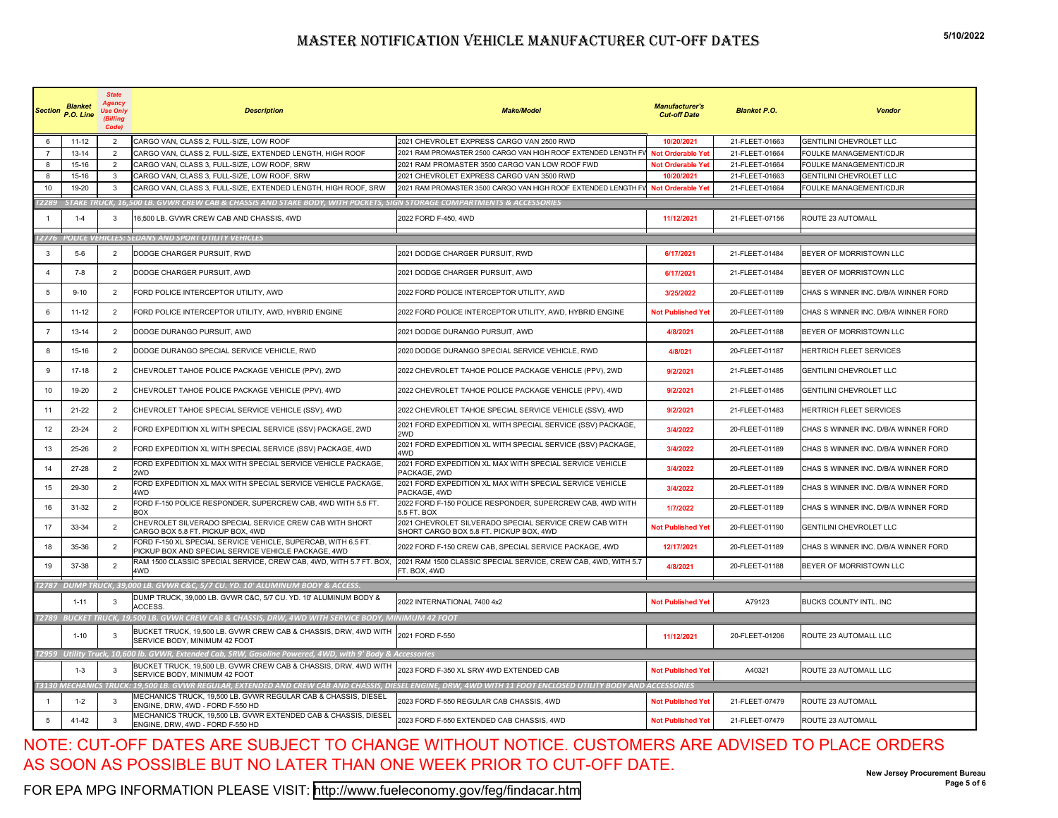|                | <b>Blanket</b><br>Section P.O. Line | <b>State</b><br>Agency<br><b>Use Only</b><br>(Billina<br>Code) | <b>Description</b>                                                                                                                                            | <b>Make/Model</b>                                                                                 | <b>Manufacturer's</b><br><b>Cut-off Date</b> | <b>Blanket P.O.</b> | <b>Vendor</b>                        |
|----------------|-------------------------------------|----------------------------------------------------------------|---------------------------------------------------------------------------------------------------------------------------------------------------------------|---------------------------------------------------------------------------------------------------|----------------------------------------------|---------------------|--------------------------------------|
| ĥ              | $11 - 12$                           | $\overline{2}$                                                 | CARGO VAN, CLASS 2, FULL-SIZE, LOW ROOF                                                                                                                       | 2021 CHEVROLET EXPRESS CARGO VAN 2500 RWD                                                         | 10/20/2021                                   | 21-FLEET-01663      | GENTILINI CHEVROLET LLC              |
|                | $13 - 14$                           | $\overline{2}$                                                 | CARGO VAN, CLASS 2, FULL-SIZE, EXTENDED LENGTH, HIGH ROOF                                                                                                     | 2021 RAM PROMASTER 2500 CARGO VAN HIGH ROOF EXTENDED LENGTH FV                                    | Not Orderable Yet                            | 21-FLEET-01664      | FOULKE MANAGEMENT/CDJR               |
| 8              | 15-16                               | $\overline{2}$                                                 | CARGO VAN, CLASS 3, FULL-SIZE, LOW ROOF, SRW                                                                                                                  | 2021 RAM PROMASTER 3500 CARGO VAN LOW ROOF FWD                                                    | <b>Not Orderable Yet</b>                     | 21-FLEET-01664      | FOULKE MANAGEMENT/CDJR               |
| 8              | $15 - 16$                           | 3                                                              | CARGO VAN, CLASS 3, FULL-SIZE, LOW ROOF, SRW                                                                                                                  | 2021 CHEVROLET EXPRESS CARGO VAN 3500 RWD                                                         | 10/20/2021                                   | 21-FLEET-01663      | GENTILINI CHEVROLET LLC              |
| 10             | 19-20                               | 3                                                              | CARGO VAN, CLASS 3, FULL-SIZE, EXTENDED LENGTH, HIGH ROOF, SRW                                                                                                | 2021 RAM PROMASTER 3500 CARGO VAN HIGH ROOF EXTENDED LENGTH FV                                    | <b>Not Orderable Ye</b>                      | 21-FLEET-01664      | FOULKE MANAGEMENT/CDJR               |
| 2289           |                                     |                                                                | STAKE TRUCK, 16,500 LB. GVWR CREW CAB & CHASSIS AND STAKE BODY, WITH POCKETS, SIGN STORAGE COMPARTMENTS & ACCESSORIES                                         |                                                                                                   |                                              |                     |                                      |
|                | $1 - 4$                             |                                                                | 16,500 LB. GVWR CREW CAB AND CHASSIS, 4WD                                                                                                                     | 2022 FORD F-450, 4WD                                                                              | 11/12/2021                                   | 21-FLEET-07156      | ROUTE 23 AUTOMALL                    |
| 72776          |                                     |                                                                | <b>POLICE VEHICLES: SEDANS AND SPORT UTILITY VEHICLES</b>                                                                                                     |                                                                                                   |                                              |                     |                                      |
| 3              | $5-6$                               | $\overline{2}$                                                 | DODGE CHARGER PURSUIT, RWD                                                                                                                                    | 2021 DODGE CHARGER PURSUIT, RWD                                                                   | 6/17/2021                                    | 21-FLEET-01484      | BEYER OF MORRISTOWN LLC              |
| $\mathbf{4}$   | $7-8$                               | $\overline{2}$                                                 | DODGE CHARGER PURSUIT, AWD                                                                                                                                    | 2021 DODGE CHARGER PURSUIT, AWD                                                                   | 6/17/2021                                    | 21-FLEET-01484      | BEYER OF MORRISTOWN LLC              |
| 5              | $9 - 10$                            | $\overline{2}$                                                 | FORD POLICE INTERCEPTOR UTILITY, AWD                                                                                                                          | 2022 FORD POLICE INTERCEPTOR UTILITY, AWD                                                         | 3/25/2022                                    | 20-FLEET-01189      | CHAS S WINNER INC. D/B/A WINNER FORD |
| 6              | $11 - 12$                           | $\overline{2}$                                                 | FORD POLICE INTERCEPTOR UTILITY, AWD, HYBRID ENGINE                                                                                                           | 2022 FORD POLICE INTERCEPTOR UTILITY, AWD, HYBRID ENGINE                                          | <b>Not Published Yet</b>                     | 20-FLEET-01189      | CHAS S WINNER INC. D/B/A WINNER FORD |
| $\overline{7}$ | 13-14                               | $\overline{2}$                                                 | DODGE DURANGO PURSUIT, AWD                                                                                                                                    | 2021 DODGE DURANGO PURSUIT, AWD                                                                   | 4/8/2021                                     | 20-FLEET-01188      | BEYER OF MORRISTOWN LLC              |
| 8              | 15-16                               | $\overline{2}$                                                 | DODGE DURANGO SPECIAL SERVICE VEHICLE, RWD                                                                                                                    | 2020 DODGE DURANGO SPECIAL SERVICE VEHICLE, RWD                                                   | 4/8/021                                      | 20-FLEET-01187      | HERTRICH FLEET SERVICES              |
| 9              | $17-18$                             | $\overline{2}$                                                 | CHEVROLET TAHOE POLICE PACKAGE VEHICLE (PPV), 2WD                                                                                                             | 2022 CHEVROLET TAHOE POLICE PACKAGE VEHICLE (PPV), 2WD                                            | 9/2/2021                                     | 21-FLEET-01485      | <b>GENTILINI CHEVROLET LLC</b>       |
| 10             | 19-20                               | $\overline{2}$                                                 | CHEVROLET TAHOE POLICE PACKAGE VEHICLE (PPV), 4WD                                                                                                             | 2022 CHEVROLET TAHOE POLICE PACKAGE VEHICLE (PPV), 4WD                                            | 9/2/2021                                     | 21-FLEET-01485      | <b>GENTILINI CHEVROLET LLC</b>       |
| 11             | 21-22                               | $\overline{2}$                                                 | CHEVROLET TAHOE SPECIAL SERVICE VEHICLE (SSV), 4WD                                                                                                            | 2022 CHEVROLET TAHOE SPECIAL SERVICE VEHICLE (SSV), 4WD                                           | 9/2/2021                                     | 21-FLEET-01483      | HERTRICH FLEET SERVICES              |
| 12             | 23-24                               | $\overline{2}$                                                 | FORD EXPEDITION XL WITH SPECIAL SERVICE (SSV) PACKAGE, 2WD                                                                                                    | 2021 FORD EXPEDITION XL WITH SPECIAL SERVICE (SSV) PACKAGE,<br>2WD                                | 3/4/2022                                     | 20-FLEET-01189      | CHAS S WINNER INC. D/B/A WINNER FORD |
| 13             | 25-26                               | $\overline{2}$                                                 | FORD EXPEDITION XL WITH SPECIAL SERVICE (SSV) PACKAGE, 4WD                                                                                                    | 2021 FORD EXPEDITION XL WITH SPECIAL SERVICE (SSV) PACKAGE,<br>4WD                                | 3/4/2022                                     | 20-FLEET-01189      | CHAS S WINNER INC. D/B/A WINNER FORD |
| 14             | 27-28                               | $\overline{2}$                                                 | FORD EXPEDITION XL MAX WITH SPECIAL SERVICE VEHICLE PACKAGE<br>2WD                                                                                            | 2021 FORD EXPEDITION XL MAX WITH SPECIAL SERVICE VEHICLE<br>PACKAGE, 2WD                          | 3/4/2022                                     | 20-FLEET-01189      | CHAS S WINNER INC. D/B/A WINNER FORD |
| 15             | 29-30                               | $\overline{2}$                                                 | FORD EXPEDITION XL MAX WITH SPECIAL SERVICE VEHICLE PACKAGE<br>4WD                                                                                            | 2021 FORD EXPEDITION XL MAX WITH SPECIAL SERVICE VEHICLE<br>PACKAGE, 4WD                          | 3/4/2022                                     | 20-FLEET-01189      | CHAS S WINNER INC. D/B/A WINNER FORD |
| 16             | 31-32                               | $\overline{2}$                                                 | FORD F-150 POLICE RESPONDER, SUPERCREW CAB, 4WD WITH 5.5 FT.<br>BOX                                                                                           | 2022 FORD F-150 POLICE RESPONDER, SUPERCREW CAB, 4WD WITH<br>5.5 FT. BOX                          | 1/7/2022                                     | 20-FLEET-01189      | CHAS S WINNER INC. D/B/A WINNER FORD |
| 17             | 33-34                               | $\overline{2}$                                                 | CHEVROLET SILVERADO SPECIAL SERVICE CREW CAB WITH SHORT<br>CARGO BOX 5.8 FT. PICKUP BOX, 4WD                                                                  | 2021 CHEVROLET SILVERADO SPECIAL SERVICE CREW CAB WITH<br>SHORT CARGO BOX 5.8 FT. PICKUP BOX, 4WD | <b>Not Published Yet</b>                     | 20-FLEET-01190      | <b>GENTILINI CHEVROLET LLC</b>       |
| 18             | 35-36                               | $\overline{2}$                                                 | FORD F-150 XL SPECIAL SERVICE VEHICLE, SUPERCAB, WITH 6.5 FT.<br>PICKUP BOX AND SPECIAL SERVICE VEHICLE PACKAGE, 4WD                                          | 2022 FORD F-150 CREW CAB, SPECIAL SERVICE PACKAGE, 4WD                                            | 12/17/2021                                   | 20-FLEET-01189      | CHAS S WINNER INC. D/B/A WINNER FORD |
| 19             | 37-38                               | $\overline{2}$                                                 | RAM 1500 CLASSIC SPECIAL SERVICE, CREW CAB, 4WD, WITH 5.7 FT. BOX, 2021 RAM 1500 CLASSIC SPECIAL SERVICE, CREW CAB, 4WD, WITH 5.7<br>4WD                      | FT. BOX, 4WD                                                                                      | 4/8/2021                                     | 20-FLEET-01188      | BEYER OF MORRISTOWN LLC              |
|                |                                     |                                                                | T2787   DUMP TRUCK, 39,000 LB. GVWR C&C, 5/7 CU. YD. 10' ALUMINUM BODY & ACCESS                                                                               |                                                                                                   |                                              |                     |                                      |
|                | $1 - 11$                            | 3                                                              | DUMP TRUCK, 39,000 LB. GVWR C&C, 5/7 CU. YD. 10' ALUMINUM BODY &<br>ACCESS.                                                                                   | 2022 INTERNATIONAL 7400 4x2                                                                       | <b>Not Published Yet</b>                     | A79123              | <b>BUCKS COUNTY INTL. INC</b>        |
|                |                                     |                                                                | <u>72789   BUCKET TRUCK, 19,500 LB. GVWR CREW CAB &amp; CHASSIS, DRW, 4WD WITH SERVICE BODY, MINIMUM 42 FOOT</u>                                              |                                                                                                   |                                              |                     |                                      |
|                | $1 - 10$                            | 3                                                              | BUCKET TRUCK, 19,500 LB. GVWR CREW CAB & CHASSIS, DRW, 4WD WITH<br>SERVICE BODY, MINIMUM 42 FOOT                                                              | 2021 FORD F-550                                                                                   | 11/12/2021                                   | 20-FLEET-01206      | ROUTE 23 AUTOMALL LLC                |
|                |                                     |                                                                | T2959   Utility Truck, 10,600 lb. GVWR, Extended Cab, SRW, Gasoline Powered, 4WD, with 9' Body & Accessories                                                  |                                                                                                   |                                              |                     |                                      |
|                | $1 - 3$                             | 3                                                              | BUCKET TRUCK, 19,500 LB. GVWR CREW CAB & CHASSIS, DRW, 4WD WITH<br>SERVICE BODY, MINIMUM 42 FOOT                                                              | 2023 FORD F-350 XL SRW 4WD EXTENDED CAB                                                           | <b>Not Published Yet</b>                     | A40321              | ROUTE 23 AUTOMALL LLC                |
|                |                                     |                                                                | T3130 MECHANICS TRUCK: 19,500 LB. GVWR REGULAR, EXTENDED AND CREW CAB AND CHASSIS, DIESEL ENGINE, DRW, 4WD WITH 11 FOOT ENCLOSED UTILITY BODY AND ACCESSORIES |                                                                                                   |                                              |                     |                                      |
|                | $1 - 2$                             | 3                                                              | MECHANICS TRUCK, 19,500 LB. GVWR REGULAR CAB & CHASSIS, DIESEL<br>ENGINE, DRW, 4WD - FORD F-550 HD                                                            | 2023 FORD F-550 REGULAR CAB CHASSIS, 4WD                                                          | <b>Not Published Yet</b>                     | 21-FLEET-07479      | ROUTE 23 AUTOMALL                    |
| 5              | 41-42                               | 3                                                              | MECHANICS TRUCK, 19,500 LB. GVWR EXTENDED CAB & CHASSIS, DIESEL<br>ENGINE, DRW, 4WD - FORD F-550 HD                                                           | 2023 FORD F-550 EXTENDED CAB CHASSIS, 4WD                                                         | <b>Not Published Yet</b>                     | 21-FLEET-07479      | ROUTE 23 AUTOMALL                    |

#### NOTE: CUT-OFF DATES ARE SUBJECT TO CHANGE WITHOUT NOTICE. CUSTOMERS ARE ADVISED TO PLACE ORDERS AS SOON AS POSSIBLE BUT NO LATER THAN ONE WEEK PRIOR TO CUT-OFF DATE.